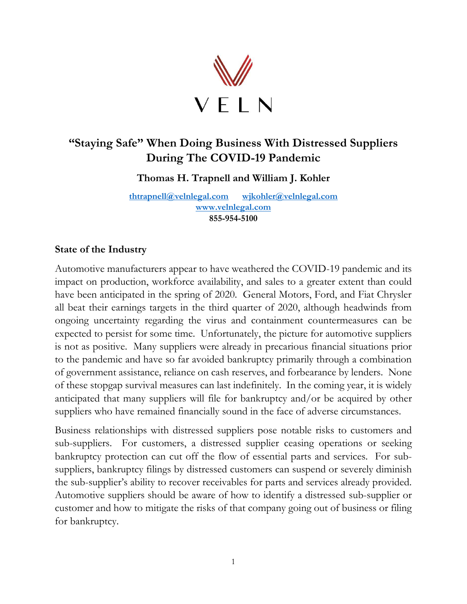

# **"Staying Safe" When Doing Business With Distressed Suppliers During The COVID-19 Pandemic**

**Thomas H. Trapnell and William J. Kohler**

**[thtrapnell@velnlegal.com](mailto:thtrapnell@velnlegal.com) [wjkohler@velnlegal.com](mailto:wjkohler@velnlegal.com) [www.velnlegal.com](http://www.velnlegal.com/) 855-954-5100**

#### **State of the Industry**

Automotive manufacturers appear to have weathered the COVID-19 pandemic and its impact on production, workforce availability, and sales to a greater extent than could have been anticipated in the spring of 2020. General Motors, Ford, and Fiat Chrysler all beat their earnings targets in the third quarter of 2020, although headwinds from ongoing uncertainty regarding the virus and containment countermeasures can be expected to persist for some time. Unfortunately, the picture for automotive suppliers is not as positive. Many suppliers were already in precarious financial situations prior to the pandemic and have so far avoided bankruptcy primarily through a combination of government assistance, reliance on cash reserves, and forbearance by lenders. None of these stopgap survival measures can last indefinitely. In the coming year, it is widely anticipated that many suppliers will file for bankruptcy and/or be acquired by other suppliers who have remained financially sound in the face of adverse circumstances.

Business relationships with distressed suppliers pose notable risks to customers and sub-suppliers. For customers, a distressed supplier ceasing operations or seeking bankruptcy protection can cut off the flow of essential parts and services. For subsuppliers, bankruptcy filings by distressed customers can suspend or severely diminish the sub-supplier's ability to recover receivables for parts and services already provided. Automotive suppliers should be aware of how to identify a distressed sub-supplier or customer and how to mitigate the risks of that company going out of business or filing for bankruptcy.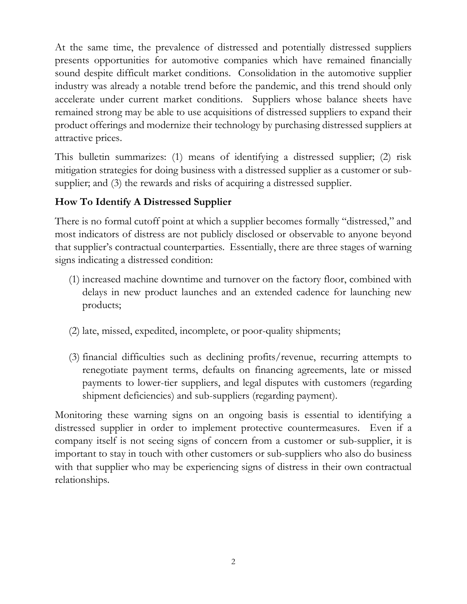At the same time, the prevalence of distressed and potentially distressed suppliers presents opportunities for automotive companies which have remained financially sound despite difficult market conditions. Consolidation in the automotive supplier industry was already a notable trend before the pandemic, and this trend should only accelerate under current market conditions. Suppliers whose balance sheets have remained strong may be able to use acquisitions of distressed suppliers to expand their product offerings and modernize their technology by purchasing distressed suppliers at attractive prices.

This bulletin summarizes: (1) means of identifying a distressed supplier; (2) risk mitigation strategies for doing business with a distressed supplier as a customer or subsupplier; and (3) the rewards and risks of acquiring a distressed supplier.

## **How To Identify A Distressed Supplier**

There is no formal cutoff point at which a supplier becomes formally "distressed," and most indicators of distress are not publicly disclosed or observable to anyone beyond that supplier's contractual counterparties. Essentially, there are three stages of warning signs indicating a distressed condition:

- (1) increased machine downtime and turnover on the factory floor, combined with delays in new product launches and an extended cadence for launching new products;
- (2) late, missed, expedited, incomplete, or poor-quality shipments;
- (3) financial difficulties such as declining profits/revenue, recurring attempts to renegotiate payment terms, defaults on financing agreements, late or missed payments to lower-tier suppliers, and legal disputes with customers (regarding shipment deficiencies) and sub-suppliers (regarding payment).

Monitoring these warning signs on an ongoing basis is essential to identifying a distressed supplier in order to implement protective countermeasures. Even if a company itself is not seeing signs of concern from a customer or sub-supplier, it is important to stay in touch with other customers or sub-suppliers who also do business with that supplier who may be experiencing signs of distress in their own contractual relationships.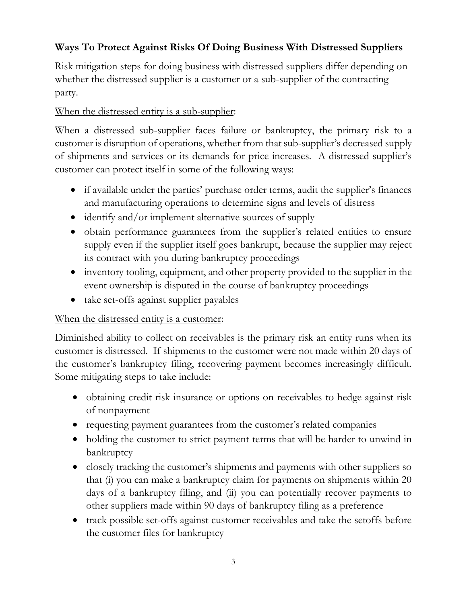# **Ways To Protect Against Risks Of Doing Business With Distressed Suppliers**

Risk mitigation steps for doing business with distressed suppliers differ depending on whether the distressed supplier is a customer or a sub-supplier of the contracting party.

## When the distressed entity is a sub-supplier:

When a distressed sub-supplier faces failure or bankruptcy, the primary risk to a customer is disruption of operations, whether from that sub-supplier's decreased supply of shipments and services or its demands for price increases. A distressed supplier's customer can protect itself in some of the following ways:

- if available under the parties' purchase order terms, audit the supplier's finances and manufacturing operations to determine signs and levels of distress
- identify and/or implement alternative sources of supply
- obtain performance guarantees from the supplier's related entities to ensure supply even if the supplier itself goes bankrupt, because the supplier may reject its contract with you during bankruptcy proceedings
- inventory tooling, equipment, and other property provided to the supplier in the event ownership is disputed in the course of bankruptcy proceedings
- take set-offs against supplier payables

### When the distressed entity is a customer:

Diminished ability to collect on receivables is the primary risk an entity runs when its customer is distressed. If shipments to the customer were not made within 20 days of the customer's bankruptcy filing, recovering payment becomes increasingly difficult. Some mitigating steps to take include:

- obtaining credit risk insurance or options on receivables to hedge against risk of nonpayment
- requesting payment guarantees from the customer's related companies
- holding the customer to strict payment terms that will be harder to unwind in bankruptcy
- closely tracking the customer's shipments and payments with other suppliers so that (i) you can make a bankruptcy claim for payments on shipments within 20 days of a bankruptcy filing, and (ii) you can potentially recover payments to other suppliers made within 90 days of bankruptcy filing as a preference
- track possible set-offs against customer receivables and take the setoffs before the customer files for bankruptcy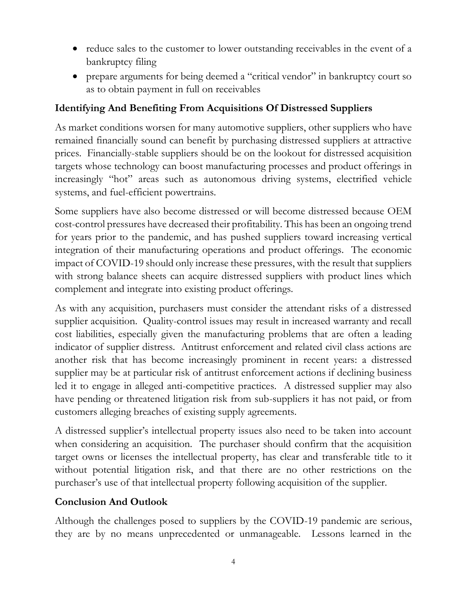- reduce sales to the customer to lower outstanding receivables in the event of a bankruptcy filing
- prepare arguments for being deemed a "critical vendor" in bankruptcy court so as to obtain payment in full on receivables

### **Identifying And Benefiting From Acquisitions Of Distressed Suppliers**

As market conditions worsen for many automotive suppliers, other suppliers who have remained financially sound can benefit by purchasing distressed suppliers at attractive prices. Financially-stable suppliers should be on the lookout for distressed acquisition targets whose technology can boost manufacturing processes and product offerings in increasingly "hot" areas such as autonomous driving systems, electrified vehicle systems, and fuel-efficient powertrains.

Some suppliers have also become distressed or will become distressed because OEM cost-control pressures have decreased their profitability. This has been an ongoing trend for years prior to the pandemic, and has pushed suppliers toward increasing vertical integration of their manufacturing operations and product offerings. The economic impact of COVID-19 should only increase these pressures, with the result that suppliers with strong balance sheets can acquire distressed suppliers with product lines which complement and integrate into existing product offerings.

As with any acquisition, purchasers must consider the attendant risks of a distressed supplier acquisition. Quality-control issues may result in increased warranty and recall cost liabilities, especially given the manufacturing problems that are often a leading indicator of supplier distress. Antitrust enforcement and related civil class actions are another risk that has become increasingly prominent in recent years: a distressed supplier may be at particular risk of antitrust enforcement actions if declining business led it to engage in alleged anti-competitive practices. A distressed supplier may also have pending or threatened litigation risk from sub-suppliers it has not paid, or from customers alleging breaches of existing supply agreements.

A distressed supplier's intellectual property issues also need to be taken into account when considering an acquisition. The purchaser should confirm that the acquisition target owns or licenses the intellectual property, has clear and transferable title to it without potential litigation risk, and that there are no other restrictions on the purchaser's use of that intellectual property following acquisition of the supplier.

#### **Conclusion And Outlook**

Although the challenges posed to suppliers by the COVID-19 pandemic are serious, they are by no means unprecedented or unmanageable. Lessons learned in the